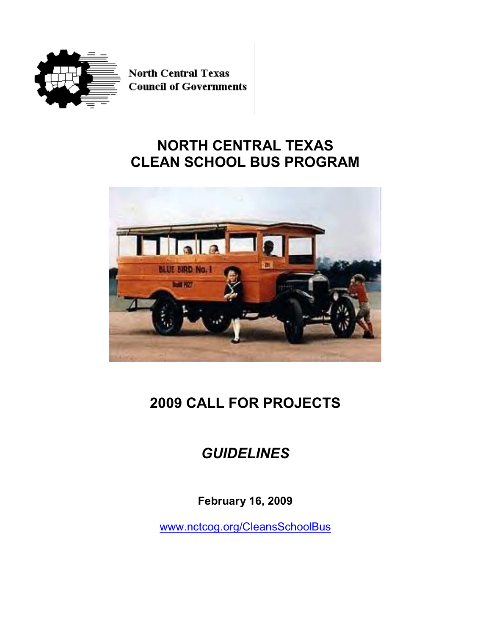

**North Central Texas Council of Governments** 

## **NORTH CENTRAL TEXAS CLEAN SCHOOL BUS PROGRAM**



# **2009 CALL FOR PROJECTS**

## *GUIDELINES*

**February 16, 2009**

www.nctcog.org/CleansSchoolBus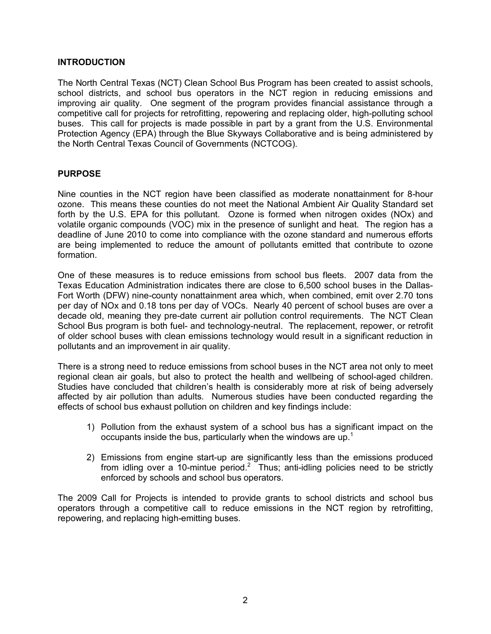## **INTRODUCTION**

The North Central Texas (NCT) Clean School Bus Program has been created to assist schools, school districts, and school bus operators in the NCT region in reducing emissions and improving air quality. One segment of the program provides financial assistance through a competitive call for projects for retrofitting, repowering and replacing older, high-polluting school buses. This call for projects is made possible in part by a grant from the U.S. Environmental Protection Agency (EPA) through the Blue Skyways Collaborative and is being administered by the North Central Texas Council of Governments (NCTCOG).

### **PURPOSE**

Nine counties in the NCT region have been classified as moderate nonattainment for 8-hour ozone. This means these counties do not meet the National Ambient Air Quality Standard set forth by the U.S. EPA for this pollutant. Ozone is formed when nitrogen oxides (NOx) and volatile organic compounds (VOC) mix in the presence of sunlight and heat. The region has a deadline of June 2010 to come into compliance with the ozone standard and numerous efforts are being implemented to reduce the amount of pollutants emitted that contribute to ozone formation.

One of these measures is to reduce emissions from school bus fleets. 2007 data from the Texas Education Administration indicates there are close to 6,500 school buses in the Dallas-Fort Worth (DFW) nine-county nonattainment area which, when combined, emit over 2.70 tons per day of NOx and 0.18 tons per day of VOCs. Nearly 40 percent of school buses are over a decade old, meaning they pre-date current air pollution control requirements. The NCT Clean School Bus program is both fuel- and technology-neutral. The replacement, repower, or retrofit of older school buses with clean emissions technology would result in a significant reduction in pollutants and an improvement in air quality.

There is a strong need to reduce emissions from school buses in the NCT area not only to meet regional clean air goals, but also to protect the health and wellbeing of school-aged children. Studies have concluded that children's health is considerably more at risk of being adversely affected by air pollution than adults. Numerous studies have been conducted regarding the effects of school bus exhaust pollution on children and key findings include:

- 1) Pollution from the exhaust system of a school bus has a significant impact on the occupants inside the bus, particularly when the windows are up.<sup>1</sup>
- 2) Emissions from engine start-up are significantly less than the emissions produced from idling over a 10-mintue period.<sup>2</sup> Thus; anti-idling policies need to be strictly enforced by schools and school bus operators.

The 2009 Call for Projects is intended to provide grants to school districts and school bus operators through a competitive call to reduce emissions in the NCT region by retrofitting, repowering, and replacing high-emitting buses.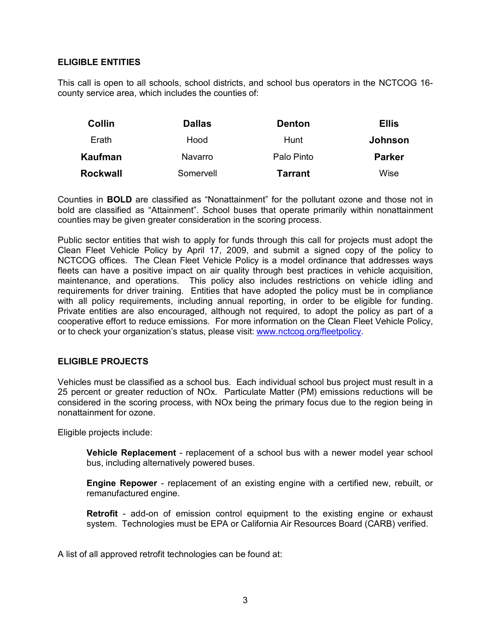## **ELIGIBLE ENTITIES**

This call is open to all schools, school districts, and school bus operators in the NCTCOG 16 county service area, which includes the counties of:

| <b>Collin</b> | <b>Dallas</b>  | <b>Denton</b> | <b>Ellis</b>  |
|---------------|----------------|---------------|---------------|
| Erath         | Hood           | Hunt          | Johnson       |
| Kaufman       | <b>Navarro</b> | Palo Pinto    | <b>Parker</b> |
| Rockwall      | Somervell      | Tarrant       | Wise          |

Counties in **BOLD** are classified as "Nonattainment" for the pollutant ozone and those not in bold are classified as "Attainment". School buses that operate primarily within nonattainment counties may be given greater consideration in the scoring process.

Public sector entities that wish to apply for funds through this call for projects must adopt the Clean Fleet Vehicle Policy by April 17, 2009, and submit a signed copy of the policy to NCTCOG offices. The Clean Fleet Vehicle Policy is a model ordinance that addresses ways fleets can have a positive impact on air quality through best practices in vehicle acquisition, maintenance, and operations. This policy also includes restrictions on vehicle idling and requirements for driver training. Entities that have adopted the policy must be in compliance with all policy requirements, including annual reporting, in order to be eligible for funding. Private entities are also encouraged, although not required, to adopt the policy as part of a cooperative effort to reduce emissions. For more information on the Clean Fleet Vehicle Policy, or to check your organization's status, please visit: www.nctcog.org/fleetpolicy.

## **ELIGIBLE PROJECTS**

Vehicles must be classified as a school bus. Each individual school bus project must result in a 25 percent or greater reduction of NOx. Particulate Matter (PM) emissions reductions will be considered in the scoring process, with NOx being the primary focus due to the region being in nonattainment for ozone.

Eligible projects include:

**Vehicle Replacement** - replacement of a school bus with a newer model year school bus, including alternatively powered buses.

**Engine Repower** - replacement of an existing engine with a certified new, rebuilt, or remanufactured engine.

**Retrofit** - add-on of emission control equipment to the existing engine or exhaust system. Technologies must be EPA or California Air Resources Board (CARB) verified.

A list of all approved retrofit technologies can be found at: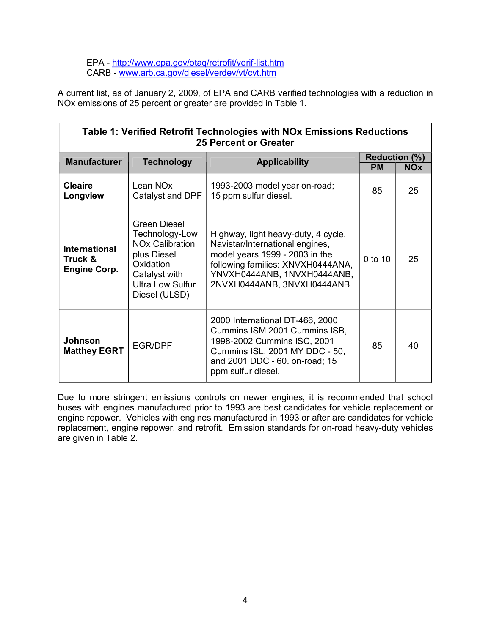EPA - http://www.epa.gov/otaq/retrofit/verif-list.htm CARB www.arb.ca.gov/diesel/verdev/vt/cvt.htm

A current list, as of January 2, 2009, of EPA and CARB verified technologies with a reduction in NOx emissions of 25 percent or greater are provided in Table 1.

| Table 1: Verified Retrofit Technologies with NOx Emissions Reductions<br><b>25 Percent or Greater</b> |                                                                                                                                                                     |                                                                                                                                                                                                            |           |                                    |  |  |  |
|-------------------------------------------------------------------------------------------------------|---------------------------------------------------------------------------------------------------------------------------------------------------------------------|------------------------------------------------------------------------------------------------------------------------------------------------------------------------------------------------------------|-----------|------------------------------------|--|--|--|
| <b>Manufacturer</b>                                                                                   | <b>Technology</b>                                                                                                                                                   | <b>Applicability</b>                                                                                                                                                                                       | <b>PM</b> | <b>Reduction (%)</b><br><b>NOx</b> |  |  |  |
| <b>Cleaire</b><br>Longview                                                                            | Lean NO <sub>x</sub><br>Catalyst and DPF                                                                                                                            | 1993-2003 model year on-road;<br>15 ppm sulfur diesel.                                                                                                                                                     | 85        | 25                                 |  |  |  |
| <b>International</b><br>Truck &<br><b>Engine Corp.</b>                                                | <b>Green Diesel</b><br>Technology-Low<br><b>NO<sub>x</sub></b> Calibration<br>plus Diesel<br>Oxidation<br>Catalyst with<br><b>Ultra Low Sulfur</b><br>Diesel (ULSD) | Highway, light heavy-duty, 4 cycle,<br>Navistar/International engines,<br>model years 1999 - 2003 in the<br>following families: XNVXH0444ANA,<br>YNVXH0444ANB, 1NVXH0444ANB,<br>2NVXH0444ANB, 3NVXH0444ANB | 0 to 10   | 25                                 |  |  |  |
| Johnson<br><b>Matthey EGRT</b>                                                                        | <b>EGR/DPF</b>                                                                                                                                                      | 2000 International DT-466, 2000<br>Cummins ISM 2001 Cummins ISB,<br>1998-2002 Cummins ISC, 2001<br>Cummins ISL, 2001 MY DDC - 50,<br>and 2001 DDC - 60. on-road; 15<br>ppm sulfur diesel.                  | 85        | 40                                 |  |  |  |

Due to more stringent emissions controls on newer engines, it is recommended that school buses with engines manufactured prior to 1993 are best candidates for vehicle replacement or engine repower. Vehicles with engines manufactured in 1993 or after are candidates for vehicle replacement, engine repower, and retrofit. Emission standards for on-road heavy-duty vehicles are given in Table 2.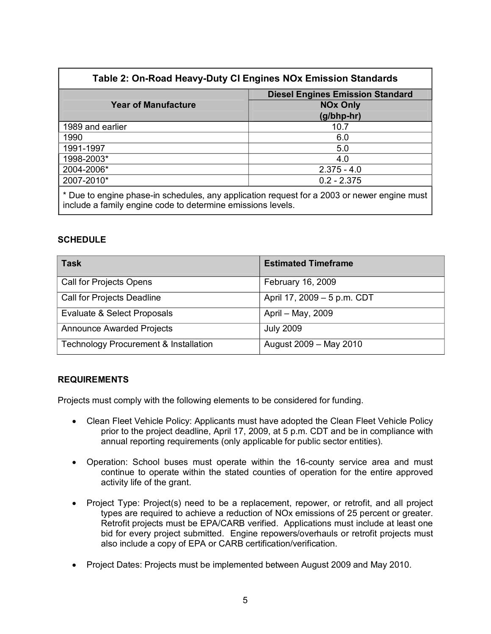| Table 2: On-Road Heavy-Duty CI Engines NOx Emission Standards                                                                                              |                                         |  |  |  |
|------------------------------------------------------------------------------------------------------------------------------------------------------------|-----------------------------------------|--|--|--|
|                                                                                                                                                            | <b>Diesel Engines Emission Standard</b> |  |  |  |
| <b>Year of Manufacture</b>                                                                                                                                 | <b>NOx Only</b>                         |  |  |  |
|                                                                                                                                                            | (g/bhp-hr)                              |  |  |  |
| 1989 and earlier                                                                                                                                           | 10.7                                    |  |  |  |
| 1990                                                                                                                                                       | 6.0                                     |  |  |  |
| 1991-1997                                                                                                                                                  | 5.0                                     |  |  |  |
| 1998-2003*                                                                                                                                                 | 4.0                                     |  |  |  |
| 2004-2006*                                                                                                                                                 | $2.375 - 4.0$                           |  |  |  |
| 2007-2010*                                                                                                                                                 | $0.2 - 2.375$                           |  |  |  |
| * Due to engine phase-in schedules, any application request for a 2003 or newer engine must<br>include a family engine code to determine emissions levels. |                                         |  |  |  |

## **SCHEDULE**

| <b>Task</b>                                      | <b>Estimated Timeframe</b>  |
|--------------------------------------------------|-----------------------------|
| Call for Projects Opens                          | February 16, 2009           |
| <b>Call for Projects Deadline</b>                | April 17, 2009 - 5 p.m. CDT |
| Evaluate & Select Proposals                      | April - May, 2009           |
| <b>Announce Awarded Projects</b>                 | <b>July 2009</b>            |
| <b>Technology Procurement &amp; Installation</b> | August 2009 - May 2010      |

## **REQUIREMENTS**

Projects must comply with the following elements to be considered for funding.

- · Clean Fleet Vehicle Policy: Applicants must have adopted the Clean Fleet Vehicle Policy prior to the project deadline, April 17, 2009, at 5 p.m. CDT and be in compliance with annual reporting requirements (only applicable for public sector entities).
- Operation: School buses must operate within the 16-county service area and must continue to operate within the stated counties of operation for the entire approved activity life of the grant.
- · Project Type: Project(s) need to be a replacement, repower, or retrofit, and all project types are required to achieve a reduction of NOx emissions of 25 percent or greater. Retrofit projects must be EPA/CARB verified. Applications must include at least one bid for every project submitted. Engine repowers/overhauls or retrofit projects must also include a copy of EPA or CARB certification/verification.
- · Project Dates: Projects must be implemented between August 2009 and May 2010.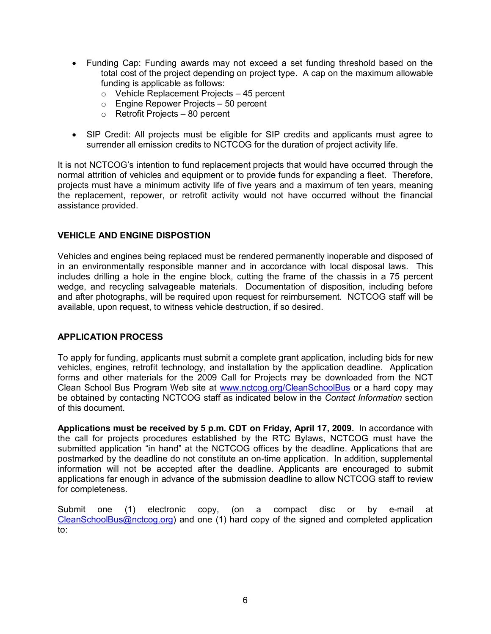- · Funding Cap: Funding awards may not exceed a set funding threshold based on the total cost of the project depending on project type. A cap on the maximum allowable funding is applicable as follows:
	- $\circ$  Vehicle Replacement Projects 45 percent
	- $\circ$  Engine Repower Projects 50 percent
	- o Retrofit Projects 80 percent
- · SIP Credit: All projects must be eligible for SIP credits and applicants must agree to surrender all emission credits to NCTCOG for the duration of project activity life.

It is not NCTCOG's intention to fund replacement projects that would have occurred through the normal attrition of vehicles and equipment or to provide funds for expanding a fleet. Therefore, projects must have a minimum activity life of five years and a maximum of ten years, meaning the replacement, repower, or retrofit activity would not have occurred without the financial assistance provided.

## **VEHICLE AND ENGINE DISPOSTION**

Vehicles and engines being replaced must be rendered permanently inoperable and disposed of in an environmentally responsible manner and in accordance with local disposal laws. This includes drilling a hole in the engine block, cutting the frame of the chassis in a 75 percent wedge, and recycling salvageable materials. Documentation of disposition, including before and after photographs, will be required upon request for reimbursement. NCTCOG staff will be available, upon request, to witness vehicle destruction, if so desired.

## **APPLICATION PROCESS**

To apply for funding, applicants must submit a complete grant application, including bids for new vehicles, engines, retrofit technology, and installation by the application deadline. Application forms and other materials for the 2009 Call for Projects may be downloaded from the NCT Clean School Bus Program Web site at www.nctcog.org/CleanSchoolBus or a hard copy may be obtained by contacting NCTCOG staff as indicated below in the *Contact Information* section of this document.

**Applications must be received by 5 p.m. CDT on Friday, April 17, 2009.** In accordance with the call for projects procedures established by the RTC Bylaws, NCTCOG must have the submitted application "in hand" at the NCTCOG offices by the deadline. Applications that are postmarked by the deadline do not constitute an on-time application. In addition, supplemental information will not be accepted after the deadline. Applicants are encouraged to submit applications far enough in advance of the submission deadline to allow NCTCOG staff to review for completeness.

Submit one (1) electronic copy, (on a compact disc or by e-mail at CleanSchoolBus@nctcog.org) and one (1) hard copy of the signed and completed application to: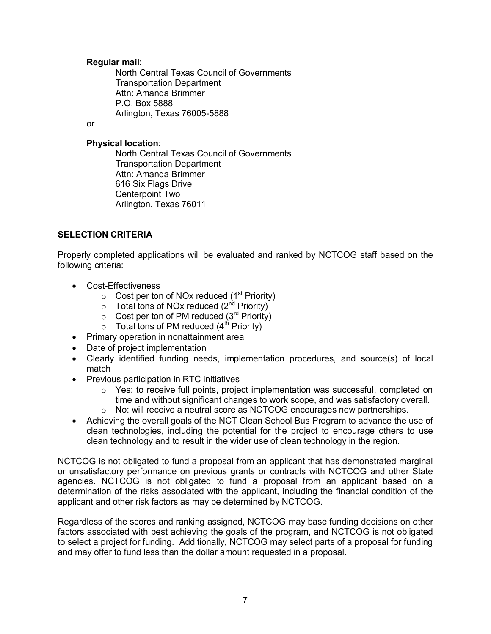### **Regular mail**:

North Central Texas Council of Governments Transportation Department Attn: Amanda Brimmer P.O. Box 5888 Arlington, Texas 76005-5888

or

## **Physical location**:

North Central Texas Council of Governments Transportation Department Attn: Amanda Brimmer 616 Six Flags Drive Centerpoint Two Arlington, Texas 76011

## **SELECTION CRITERIA**

Properly completed applications will be evaluated and ranked by NCTCOG staff based on the following criteria:

- Cost-Effectiveness
	- $\circ$  Cost per ton of NOx reduced (1<sup>st</sup> Priority)
	- o Total tons of NOx reduced (2<sup>nd</sup> Priority)
	- $\circ$  Cost per ton of PM reduced (3<sup>rd</sup> Priority)
	- o Total tons of PM reduced (4<sup>th</sup> Priority)
- · Primary operation in nonattainment area
- · Date of project implementation
- · Clearly identified funding needs, implementation procedures, and source(s) of local match
- · Previous participation in RTC initiatives
	- $\circ$  Yes: to receive full points, project implementation was successful, completed on time and without significant changes to work scope, and was satisfactory overall.  $\circ$  No: will receive a neutral score as NCTCOG encourages new partnerships.
- · Achieving the overall goals of the NCT Clean School Bus Program to advance the use of clean technologies, including the potential for the project to encourage others to use clean technology and to result in the wider use of clean technology in the region.

NCTCOG is not obligated to fund a proposal from an applicant that has demonstrated marginal or unsatisfactory performance on previous grants or contracts with NCTCOG and other State agencies. NCTCOG is not obligated to fund a proposal from an applicant based on a determination of the risks associated with the applicant, including the financial condition of the applicant and other risk factors as may be determined by NCTCOG.

Regardless of the scores and ranking assigned, NCTCOG may base funding decisions on other factors associated with best achieving the goals of the program, and NCTCOG is not obligated to select a project for funding. Additionally, NCTCOG may select parts of a proposal for funding and may offer to fund less than the dollar amount requested in a proposal.